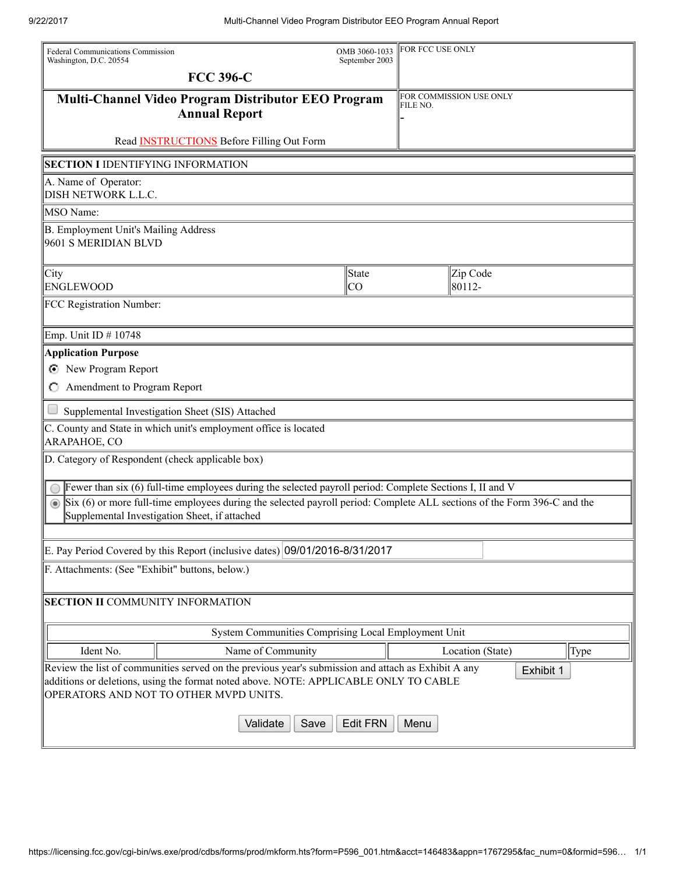| Federal Communications Commission<br>Washington, D.C. 20554  |                                                                                                                                                                                                                                       | OMB 3060-1033<br>September 2003 | <b>FOR FCC USE ONLY</b> |                         |      |
|--------------------------------------------------------------|---------------------------------------------------------------------------------------------------------------------------------------------------------------------------------------------------------------------------------------|---------------------------------|-------------------------|-------------------------|------|
|                                                              | <b>FCC 396-C</b>                                                                                                                                                                                                                      |                                 |                         |                         |      |
|                                                              | Multi-Channel Video Program Distributor EEO Program<br><b>Annual Report</b>                                                                                                                                                           |                                 | FILE NO.                | FOR COMMISSION USE ONLY |      |
|                                                              | Read <b>INSTRUCTIONS</b> Before Filling Out Form                                                                                                                                                                                      |                                 |                         |                         |      |
| <b>SECTION I IDENTIFYING INFORMATION</b>                     |                                                                                                                                                                                                                                       |                                 |                         |                         |      |
| A. Name of Operator:<br>DISH NETWORK L.L.C.                  |                                                                                                                                                                                                                                       |                                 |                         |                         |      |
| <b>MSO</b> Name:                                             |                                                                                                                                                                                                                                       |                                 |                         |                         |      |
| B. Employment Unit's Mailing Address<br>9601 S MERIDIAN BLVD |                                                                                                                                                                                                                                       |                                 |                         |                         |      |
| City<br><b>ENGLEWOOD</b>                                     |                                                                                                                                                                                                                                       | State<br> CO                    |                         | Zip Code<br>80112-      |      |
| FCC Registration Number:                                     |                                                                                                                                                                                                                                       |                                 |                         |                         |      |
| Emp. Unit ID # 10748                                         |                                                                                                                                                                                                                                       |                                 |                         |                         |      |
| <b>Application Purpose</b>                                   |                                                                                                                                                                                                                                       |                                 |                         |                         |      |
| New Program Report<br>Θ                                      |                                                                                                                                                                                                                                       |                                 |                         |                         |      |
| C Amendment to Program Report                                |                                                                                                                                                                                                                                       |                                 |                         |                         |      |
|                                                              | Supplemental Investigation Sheet (SIS) Attached                                                                                                                                                                                       |                                 |                         |                         |      |
| ARAPAHOE, CO                                                 | C. County and State in which unit's employment office is located                                                                                                                                                                      |                                 |                         |                         |      |
| D. Category of Respondent (check applicable box)             |                                                                                                                                                                                                                                       |                                 |                         |                         |      |
|                                                              | Fewer than six (6) full-time employees during the selected payroll period: Complete Sections I, II and V                                                                                                                              |                                 |                         |                         |      |
|                                                              | Six (6) or more full-time employees during the selected payroll period: Complete ALL sections of the Form 396-C and the<br>Supplemental Investigation Sheet, if attached                                                              |                                 |                         |                         |      |
|                                                              | E. Pay Period Covered by this Report (inclusive dates) 09/01/2016-8/31/2017                                                                                                                                                           |                                 |                         |                         |      |
| F. Attachments: (See "Exhibit" buttons, below.)              |                                                                                                                                                                                                                                       |                                 |                         |                         |      |
| <b>SECTION II COMMUNITY INFORMATION</b>                      |                                                                                                                                                                                                                                       |                                 |                         |                         |      |
|                                                              | System Communities Comprising Local Employment Unit                                                                                                                                                                                   |                                 |                         |                         |      |
| Ident No.                                                    | Name of Community                                                                                                                                                                                                                     |                                 |                         | Location (State)        | Type |
|                                                              | Review the list of communities served on the previous year's submission and attach as Exhibit A any<br>additions or deletions, using the format noted above. NOTE: APPLICABLE ONLY TO CABLE<br>OPERATORS AND NOT TO OTHER MVPD UNITS. |                                 |                         | Exhibit 1               |      |
|                                                              | Validate<br>Save                                                                                                                                                                                                                      | <b>Edit FRN</b>                 | Menu                    |                         |      |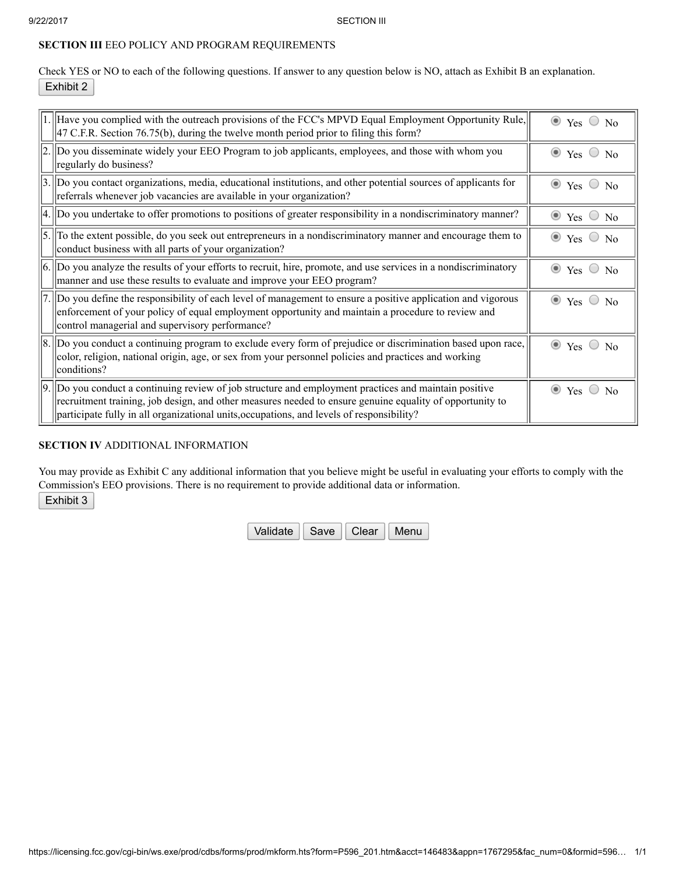## SECTION III EEO POLICY AND PROGRAM REQUIREMENTS

Check YES or NO to each of the following questions. If answer to any question below is NO, attach as Exhibit B an explanation. Exhibit 2

| $ 1. $ Have you complied with the outreach provisions of the FCC's MPVD Equal Employment Opportunity Rule,<br>$ 47 \text{ C.F.R. Section 76.75(b)}$ , during the twelve month period prior to filing this form?                                                                                                  | $\bullet$ Yes $\circ$ No           |
|------------------------------------------------------------------------------------------------------------------------------------------------------------------------------------------------------------------------------------------------------------------------------------------------------------------|------------------------------------|
| [2.] Do you disseminate widely your EEO Program to job applicants, employees, and those with whom you<br>regularly do business?                                                                                                                                                                                  | $\bullet$ Yes $\circ$<br>No        |
| 3. Do you contact organizations, media, educational institutions, and other potential sources of applicants for<br>referrals whenever job vacancies are available in your organization?                                                                                                                          | $\bullet$ Yes $\circ$ No           |
| $ 4.  $ Do you undertake to offer promotions to positions of greater responsibility in a nondiscriminatory manner?                                                                                                                                                                                               | $\bullet$ Yes $\circ$ No           |
| $\vert$ 5. To the extent possible, do you seek out entrepreneurs in a nondiscriminatory manner and encourage them to<br>conduct business with all parts of your organization?                                                                                                                                    | $\bullet$ Yes $\circ$ No           |
| $ 6.  $ Do you analyze the results of your efforts to recruit, hire, promote, and use services in a nondiscriminatory<br>manner and use these results to evaluate and improve your EEO program?                                                                                                                  | $\odot$<br>Yes<br>$\bigcirc$<br>No |
| 7. Do you define the responsibility of each level of management to ensure a positive application and vigorous<br>enforcement of your policy of equal employment opportunity and maintain a procedure to review and<br>control managerial and supervisory performance?                                            | $\bullet$ Yes $\circ$ No           |
| 8. Do you conduct a continuing program to exclude every form of prejudice or discrimination based upon race,<br>color, religion, national origin, age, or sex from your personnel policies and practices and working<br>conditions?                                                                              | $\bullet$ Yes $\circ$<br>No        |
| $9.$ Do you conduct a continuing review of job structure and employment practices and maintain positive<br>recruitment training, job design, and other measures needed to ensure genuine equality of opportunity to<br>participate fully in all organizational units, occupations, and levels of responsibility? | $\bullet$ Yes $\circ$ No           |

## SECTION IV ADDITIONAL INFORMATION

You may provide as Exhibit C any additional information that you believe might be useful in evaluating your efforts to comply with the Commission's EEO provisions. There is no requirement to provide additional data or information.

Exhibit 3